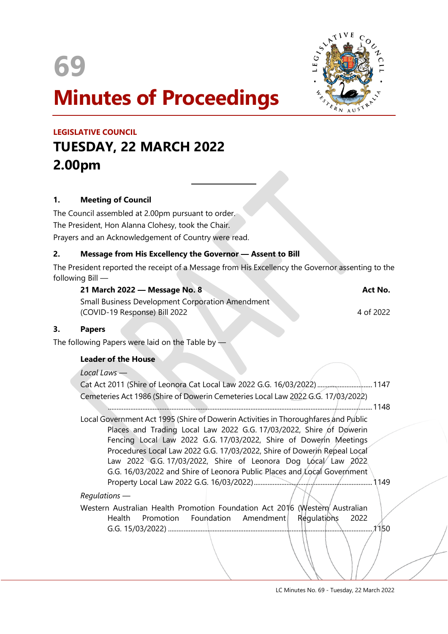



# **Minutes of Proceedings**

# **LEGISLATIVE COUNCIL TUESDAY, 22 MARCH 2022 2.00pm**

#### **1. Meeting of Council**

The Council assembled at 2.00pm pursuant to order. The President, Hon Alanna Clohesy, took the Chair. Prayers and an Acknowledgement of Country were read.

#### **2. Message from His Excellency the Governor — Assent to Bill**

 $\overline{a}$ 

The President reported the receipt of a Message from His Excellency the Governor assenting to the following Bill —

| 21 March 2022 — Message No. 8 |  | Act No. |
|-------------------------------|--|---------|
|-------------------------------|--|---------|

Small Business Development Corporation Amendment (COVID-19 Response) Bill 2022 4 of 2022

#### **3. Papers**

The following Papers were laid on the Table by  $-$ 

#### **Leader of the House**

*Local Laws —*

| Cat Act 2011 (Shire of Leonora Cat Local Law 2022 G.G. 16/03/2022)  1147         |  |  |  |  |
|----------------------------------------------------------------------------------|--|--|--|--|
| Cemeteries Act 1986 (Shire of Dowerin Cemeteries Local Law 2022 G.G. 17/03/2022) |  |  |  |  |

..........................................................................................................................................................1148 Local Government Act 1995 (Shire of Dowerin Activities in Thoroughfares and Public Places and Trading Local Law 2022 G.G. 17/03/2022, Shire of Dowerin Fencing Local Law 2022 G.G. 17/03/2022, Shire of Dowerin Meetings Procedures Local Law 2022 G.G. 17/03/2022, Shire of Dowerin Repeal Local Law 2022 G.G. 17/03/2022, Shire of Leonora Dog Local Law 2022 G.G. 16/03/2022 and Shire of Leonora Public Places and Local Government Property Local Law 2022 G.G. 16/03/2022).....................................................................1149

*Regulations —*

Western Australian Health Promotion Foundation Act 2016 (Western Australian Health Promotion Foundation Amendment Regulations 2022 G.G. 15/03/2022) .......................................................................................................................1150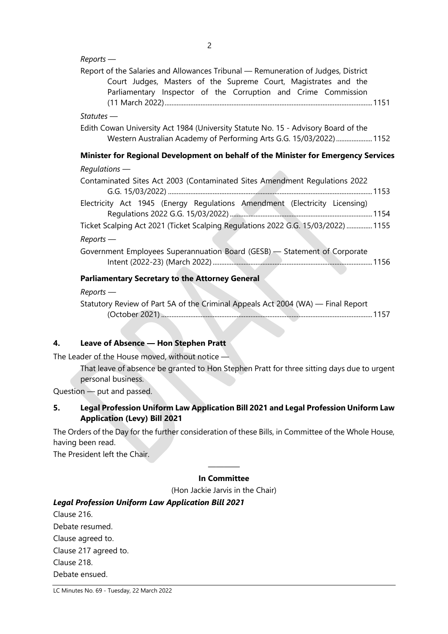| $Reports$ —                                                                                                                                                                                                            |
|------------------------------------------------------------------------------------------------------------------------------------------------------------------------------------------------------------------------|
| Report of the Salaries and Allowances Tribunal - Remuneration of Judges, District<br>Court Judges, Masters of the Supreme Court, Magistrates and the<br>Parliamentary Inspector of the Corruption and Crime Commission |
| $Statuses$ —                                                                                                                                                                                                           |
| Edith Cowan University Act 1984 (University Statute No. 15 - Advisory Board of the<br>Western Australian Academy of Performing Arts G.G. 15/03/2022)  1152                                                             |
| Minister for Regional Development on behalf of the Minister for Emergency Services                                                                                                                                     |
| $Requirements$ —                                                                                                                                                                                                       |
| Contaminated Sites Act 2003 (Contaminated Sites Amendment Regulations 2022                                                                                                                                             |
| Electricity Act 1945 (Energy Regulations Amendment (Electricity Licensing)                                                                                                                                             |
| Ticket Scalping Act 2021 (Ticket Scalping Regulations 2022 G.G. 15/03/2022)  1155                                                                                                                                      |
| $Reports$ —                                                                                                                                                                                                            |
| Government Employees Superannuation Board (GESB) - Statement of Corporate                                                                                                                                              |
| <b>Parliamentary Secretary to the Attorney General</b>                                                                                                                                                                 |
| $Reports$ —                                                                                                                                                                                                            |
| Statutory Review of Part 5A of the Criminal Appeals Act 2004 (WA) - Final Report                                                                                                                                       |

#### **4. Leave of Absence — Hon Stephen Pratt**

The Leader of the House moved, without notice —

That leave of absence be granted to Hon Stephen Pratt for three sitting days due to urgent personal business.

Question — put and passed.

#### **5. Legal Profession Uniform Law Application Bill 2021 and Legal Profession Uniform Law Application (Levy) Bill 2021**

The Orders of the Day for the further consideration of these Bills, in Committee of the Whole House, having been read.

The President left the Chair.

#### ———— **In Committee**

(Hon Jackie Jarvis in the Chair)

### *Legal Profession Uniform Law Application Bill 2021*

Clause 216. Debate resumed. Clause agreed to. Clause 217 agreed to. Clause 218. Debate ensued.

LC Minutes No. 69 - Tuesday, 22 March 2022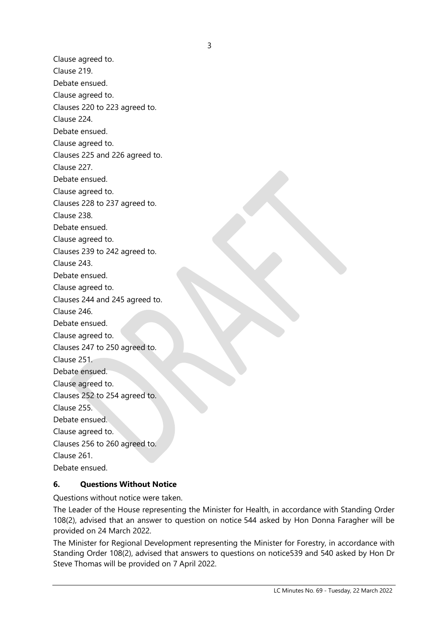Clause agreed to. Clause 219. Debate ensued. Clause agreed to. Clauses 220 to 223 agreed to. Clause 224. Debate ensued. Clause agreed to. Clauses 225 and 226 agreed to. Clause 227. Debate ensued. Clause agreed to. Clauses 228 to 237 agreed to. Clause 238. Debate ensued. Clause agreed to. Clauses 239 to 242 agreed to. Clause 243. Debate ensued. Clause agreed to. Clauses 244 and 245 agreed to. Clause 246. Debate ensued. Clause agreed to. Clauses 247 to 250 agreed to. Clause 251. Debate ensued. Clause agreed to. Clauses 252 to 254 agreed to. Clause 255. Debate ensued. Clause agreed to. Clauses 256 to 260 agreed to. Clause 261. Debate ensued.

#### **6. Questions Without Notice**

Questions without notice were taken.

The Leader of the House representing the Minister for Health, in accordance with Standing Order 108(2), advised that an answer to question on notice 544 asked by Hon Donna Faragher will be provided on 24 March 2022.

The Minister for Regional Development representing the Minister for Forestry, in accordance with Standing Order 108(2), advised that answers to questions on notice539 and 540 asked by Hon Dr Steve Thomas will be provided on 7 April 2022.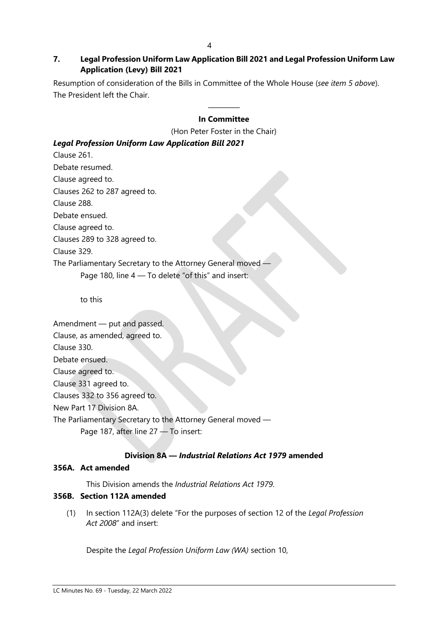#### **7. Legal Profession Uniform Law Application Bill 2021 and Legal Profession Uniform Law Application (Levy) Bill 2021**

Resumption of consideration of the Bills in Committee of the Whole House (*see item 5 above*). The President left the Chair.

#### ———— **In Committee**

(Hon Peter Foster in the Chair)

#### *Legal Profession Uniform Law Application Bill 2021*

Clause 261. Debate resumed. Clause agreed to. Clauses 262 to 287 agreed to. Clause 288. Debate ensued. Clause agreed to. Clauses 289 to 328 agreed to. Clause 329. The Parliamentary Secretary to the Attorney General moved — Page 180, line 4 - To delete "of this" and insert:

to this

Amendment — put and passed. Clause, as amended, agreed to. Clause 330. Debate ensued. Clause agreed to. Clause 331 agreed to. Clauses 332 to 356 agreed to. New Part 17 Division 8A. The Parliamentary Secretary to the Attorney General moved — Page 187, after line 27 — To insert:

#### **Division 8A —** *Industrial Relations Act 1979* **amended**

#### **356A. Act amended**

This Division amends the *Industrial Relations Act 1979*.

#### **356B. Section 112A amended**

(1) In section 112A(3) delete "For the purposes of section 12 of the *Legal Profession Act 2008*" and insert:

Despite the *Legal Profession Uniform Law (WA)* section 10,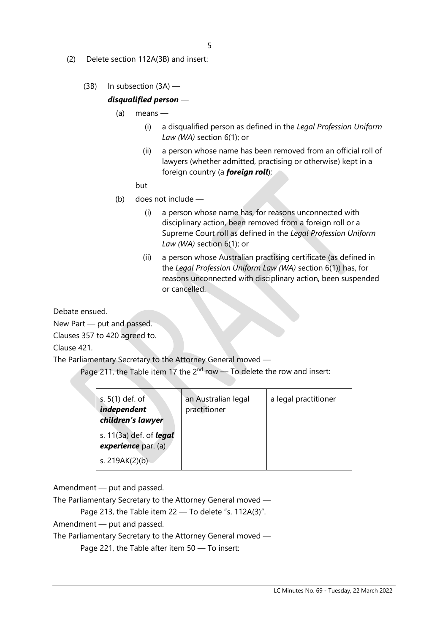- (2) Delete section 112A(3B) and insert:
	- (3B) In subsection (3A) —

#### *disqualified person* —

- (a) means
	- (i) a disqualified person as defined in the *Legal Profession Uniform Law (WA)* section 6(1); or
	- (ii) a person whose name has been removed from an official roll of lawyers (whether admitted, practising or otherwise) kept in a foreign country (a *foreign roll*);

#### but

- (b) does not include
	- (i) a person whose name has, for reasons unconnected with disciplinary action, been removed from a foreign roll or a Supreme Court roll as defined in the *Legal Profession Uniform Law (WA)* section 6(1); or
	- (ii) a person whose Australian practising certificate (as defined in the *Legal Profession Uniform Law (WA)* section 6(1)) has, for reasons unconnected with disciplinary action, been suspended or cancelled.

Debate ensued.

New Part — put and passed.

Clauses 357 to 420 agreed to.

Clause 421.

The Parliamentary Secretary to the Attorney General moved —

Page 211, the Table item 17 the  $2^{nd}$  row  $-$  To delete the row and insert:

| s. $5(1)$ def. of<br>independent<br>children's lawyer | an Australian legal<br>practitioner | a legal practitioner |
|-------------------------------------------------------|-------------------------------------|----------------------|
| s. 11(3a) def. of <i>legal</i><br>experience par. (a) |                                     |                      |
| s. 219AK(2)(b)                                        |                                     |                      |

Amendment — put and passed.

The Parliamentary Secretary to the Attorney General moved —

Page 213, the Table item 22 - To delete "s. 112A(3)".

Amendment — put and passed.

The Parliamentary Secretary to the Attorney General moved —

Page 221, the Table after item 50 — To insert: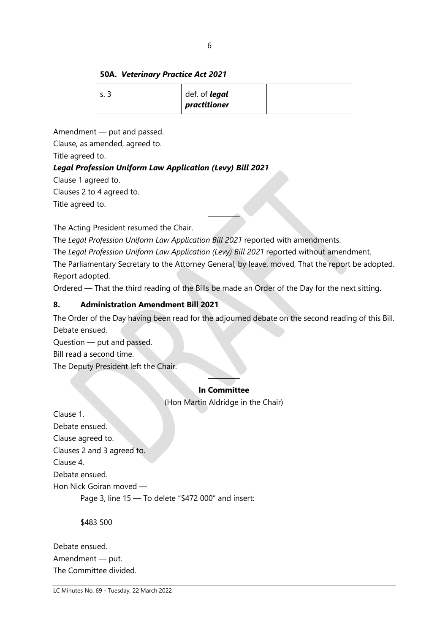## **50A.** *Veterinary Practice Act 2021*

| د .د | def. of <b>legal</b><br>practitioner |  |
|------|--------------------------------------|--|
|      |                                      |  |

Amendment — put and passed.

Clause, as amended, agreed to.

Title agreed to.

### *Legal Profession Uniform Law Application (Levy) Bill 2021*

Clause 1 agreed to.

Clauses 2 to 4 agreed to.

Title agreed to.

The Acting President resumed the Chair.

The *Legal Profession Uniform Law Application Bill 2021* reported with amendments.

The *Legal Profession Uniform Law Application (Levy) Bill 2021* reported without amendment.

The Parliamentary Secretary to the Attorney General, by leave, moved, That the report be adopted. Report adopted.

————

Ordered — That the third reading of the Bills be made an Order of the Day for the next sitting.

### **8. Administration Amendment Bill 2021**

The Order of the Day having been read for the adjourned debate on the second reading of this Bill. Debate ensued. Question — put and passed. Bill read a second time.

The Deputy President left the Chair.

#### ———— **In Committee**

(Hon Martin Aldridge in the Chair)

Clause 1. Debate ensued. Clause agreed to. Clauses 2 and 3 agreed to. Clause 4. Debate ensued. Hon Nick Goiran moved — Page 3, line 15 — To delete "\$472 000" and insert:

\$483 500

Debate ensued. Amendment — put. The Committee divided.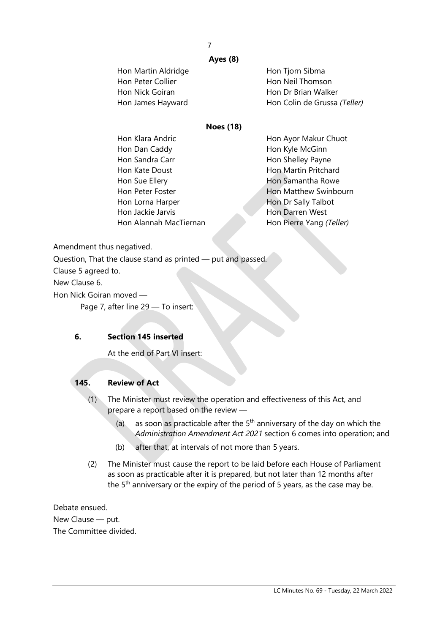#### 7

#### **Ayes (8)**

| Hon Martin Aldridge | Hon Tjorn Sibma              |
|---------------------|------------------------------|
| Hon Peter Collier   | Hon Neil Thomson             |
| Hon Nick Goiran     | Hon Dr Brian Walker          |
| Hon James Hayward   | Hon Colin de Grussa (Teller) |
|                     |                              |

#### **Noes (18)**

| Hon Klara Andric       | Hon Ayor Makur Chuot     |
|------------------------|--------------------------|
| Hon Dan Caddy          | Hon Kyle McGinn          |
| Hon Sandra Carr        | Hon Shelley Payne        |
| Hon Kate Doust         | Hon Martin Pritchard     |
| Hon Sue Ellery         | Hon Samantha Rowe        |
| Hon Peter Foster       | Hon Matthew Swinbourn    |
| Hon Lorna Harper       | Hon Dr Sally Talbot      |
| Hon Jackie Jarvis      | Hon Darren West          |
| Hon Alannah MacTiernan | Hon Pierre Yang (Teller) |
|                        |                          |

Amendment thus negatived.

Question, That the clause stand as printed — put and passed.

Clause 5 agreed to.

New Clause 6.

Hon Nick Goiran moved —

Page 7, after line 29 — To insert:

#### **6. Section 145 inserted**

At the end of Part VI insert:

#### **145. Review of Act**

- (1) The Minister must review the operation and effectiveness of this Act, and prepare a report based on the review —
	- (a) as soon as practicable after the  $5<sup>th</sup>$  anniversary of the day on which the *Administration Amendment Act 2021* section 6 comes into operation; and
	- (b) after that, at intervals of not more than 5 years.
- (2) The Minister must cause the report to be laid before each House of Parliament as soon as practicable after it is prepared, but not later than 12 months after the  $5<sup>th</sup>$  anniversary or the expiry of the period of 5 years, as the case may be.

Debate ensued. New Clause — put. The Committee divided.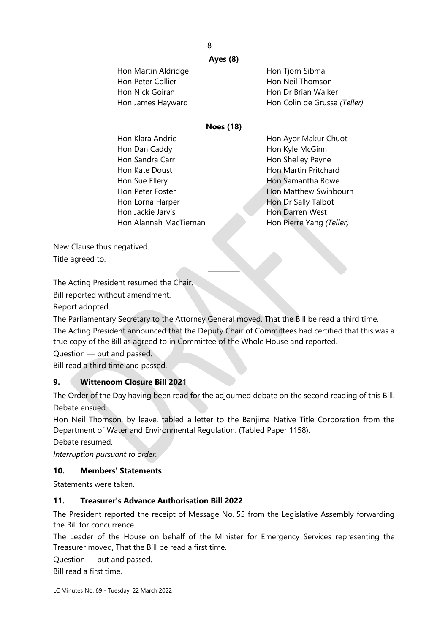#### 8

#### **Ayes (8)**

| Hon Martin Aldridge | Hon Tjorn Sibma              |
|---------------------|------------------------------|
| Hon Peter Collier   | Hon Neil Thomson             |
| Hon Nick Goiran     | Hon Dr Brian Walker          |
| Hon James Hayward   | Hon Colin de Grussa (Teller) |
|                     |                              |

#### **Noes (18)**

| Hon Klara Andric       | Hon Ayor Makur Chuot     |
|------------------------|--------------------------|
| Hon Dan Caddy          | Hon Kyle McGinn          |
| Hon Sandra Carr        | Hon Shelley Payne        |
| Hon Kate Doust         | Hon Martin Pritchard     |
| Hon Sue Ellery         | Hon Samantha Rowe        |
| Hon Peter Foster       | Hon Matthew Swinbourn    |
| Hon Lorna Harper       | Hon Dr Sally Talbot      |
| Hon Jackie Jarvis      | Hon Darren West          |
| Hon Alannah MacTiernan | Hon Pierre Yang (Teller) |
|                        |                          |

New Clause thus negatived. Title agreed to.

The Acting President resumed the Chair.

Bill reported without amendment.

Report adopted.

The Parliamentary Secretary to the Attorney General moved, That the Bill be read a third time. The Acting President announced that the Deputy Chair of Committees had certified that this was a true copy of the Bill as agreed to in Committee of the Whole House and reported.

————

Question — put and passed.

Bill read a third time and passed.

#### **9. Wittenoom Closure Bill 2021**

The Order of the Day having been read for the adjourned debate on the second reading of this Bill. Debate ensued.

Hon Neil Thomson, by leave, tabled a letter to the Banjima Native Title Corporation from the Department of Water and Environmental Regulation. (Tabled Paper 1158).

Debate resumed.

*Interruption pursuant to order.*

#### **10. Members' Statements**

Statements were taken.

#### **11. Treasurer's Advance Authorisation Bill 2022**

The President reported the receipt of Message No. 55 from the Legislative Assembly forwarding the Bill for concurrence.

The Leader of the House on behalf of the Minister for Emergency Services representing the Treasurer moved, That the Bill be read a first time.

Question — put and passed.

Bill read a first time.